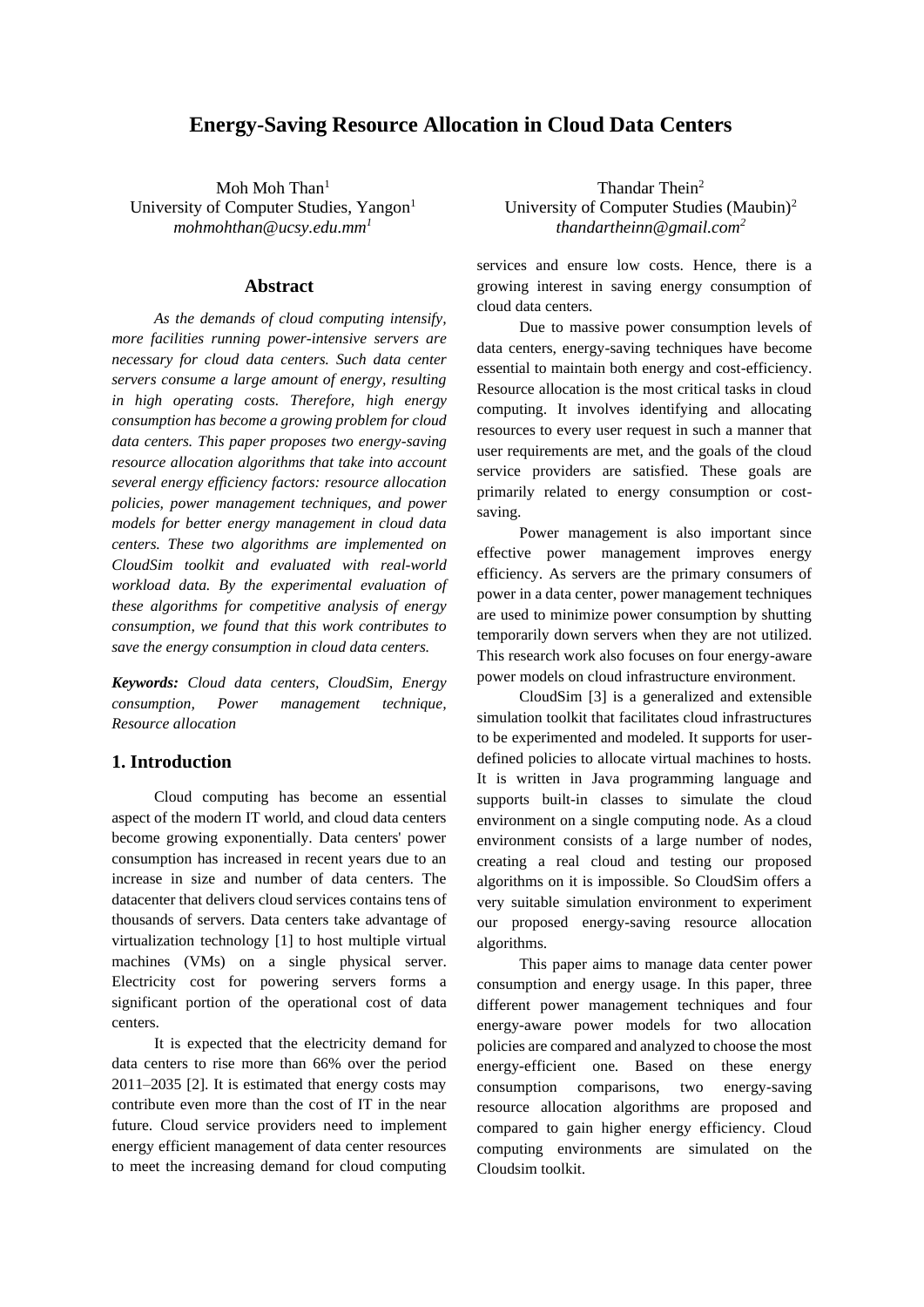# **Energy-Saving Resource Allocation in Cloud Data Centers**

Moh Moh Than<sup>1</sup> University of Computer Studies, Yangon<sup>1</sup> *mohmohthan@ucsy.edu.mm<sup>1</sup>*

### **Abstract**

*As the demands of cloud computing intensify, more facilities running power-intensive servers are necessary for cloud data centers. Such data center servers consume a large amount of energy, resulting in high operating costs. Therefore, high energy consumption has become a growing problem for cloud data centers. This paper proposes two energy-saving resource allocation algorithms that take into account several energy efficiency factors: resource allocation policies, power management techniques, and power models for better energy management in cloud data centers. These two algorithms are implemented on CloudSim toolkit and evaluated with real-world workload data. By the experimental evaluation of these algorithms for competitive analysis of energy consumption, we found that this work contributes to save the energy consumption in cloud data centers.*

*Keywords: Cloud data centers, CloudSim, Energy consumption, Power management technique, Resource allocation*

### **1. Introduction**

Cloud computing has become an essential aspect of the modern IT world, and cloud data centers become growing exponentially. Data centers' power consumption has increased in recent years due to an increase in size and number of data centers. The datacenter that delivers cloud services contains tens of thousands of servers. Data centers take advantage of virtualization technology [1] to host multiple virtual machines (VMs) on a single physical server. Electricity cost for powering servers forms a significant portion of the operational cost of data centers.

It is expected that the electricity demand for data centers to rise more than 66% over the period 2011–2035 [2]. It is estimated that energy costs may contribute even more than the cost of IT in the near future. Cloud service providers need to implement energy efficient management of data center resources to meet the increasing demand for cloud computing

Thandar Thein<sup>2</sup> University of Computer Studies (Maubin)<sup>2</sup> *thandartheinn@gmail.com<sup>2</sup>*

services and ensure low costs. Hence, there is a growing interest in saving energy consumption of cloud data centers.

Due to massive power consumption levels of data centers, energy-saving techniques have become essential to maintain both energy and cost-efficiency. Resource allocation is the most critical tasks in cloud computing. It involves identifying and allocating resources to every user request in such a manner that user requirements are met, and the goals of the cloud service providers are satisfied. These goals are primarily related to energy consumption or costsaving.

Power management is also important since effective power management improves energy efficiency. As servers are the primary consumers of power in a data center, power management techniques are used to minimize power consumption by shutting temporarily down servers when they are not utilized. This research work also focuses on four energy-aware power models on cloud infrastructure environment.

CloudSim [3] is a generalized and extensible simulation toolkit that facilitates cloud infrastructures to be experimented and modeled. It supports for userdefined policies to allocate virtual machines to hosts. It is written in Java programming language and supports built-in classes to simulate the cloud environment on a single computing node. As a cloud environment consists of a large number of nodes, creating a real cloud and testing our proposed algorithms on it is impossible. So CloudSim offers a very suitable simulation environment to experiment our proposed energy-saving resource allocation algorithms.

This paper aims to manage data center power consumption and energy usage. In this paper, three different power management techniques and four energy-aware power models for two allocation policies are compared and analyzed to choose the most energy-efficient one. Based on these energy consumption comparisons, two energy-saving resource allocation algorithms are proposed and compared to gain higher energy efficiency. Cloud computing environments are simulated on the Cloudsim toolkit.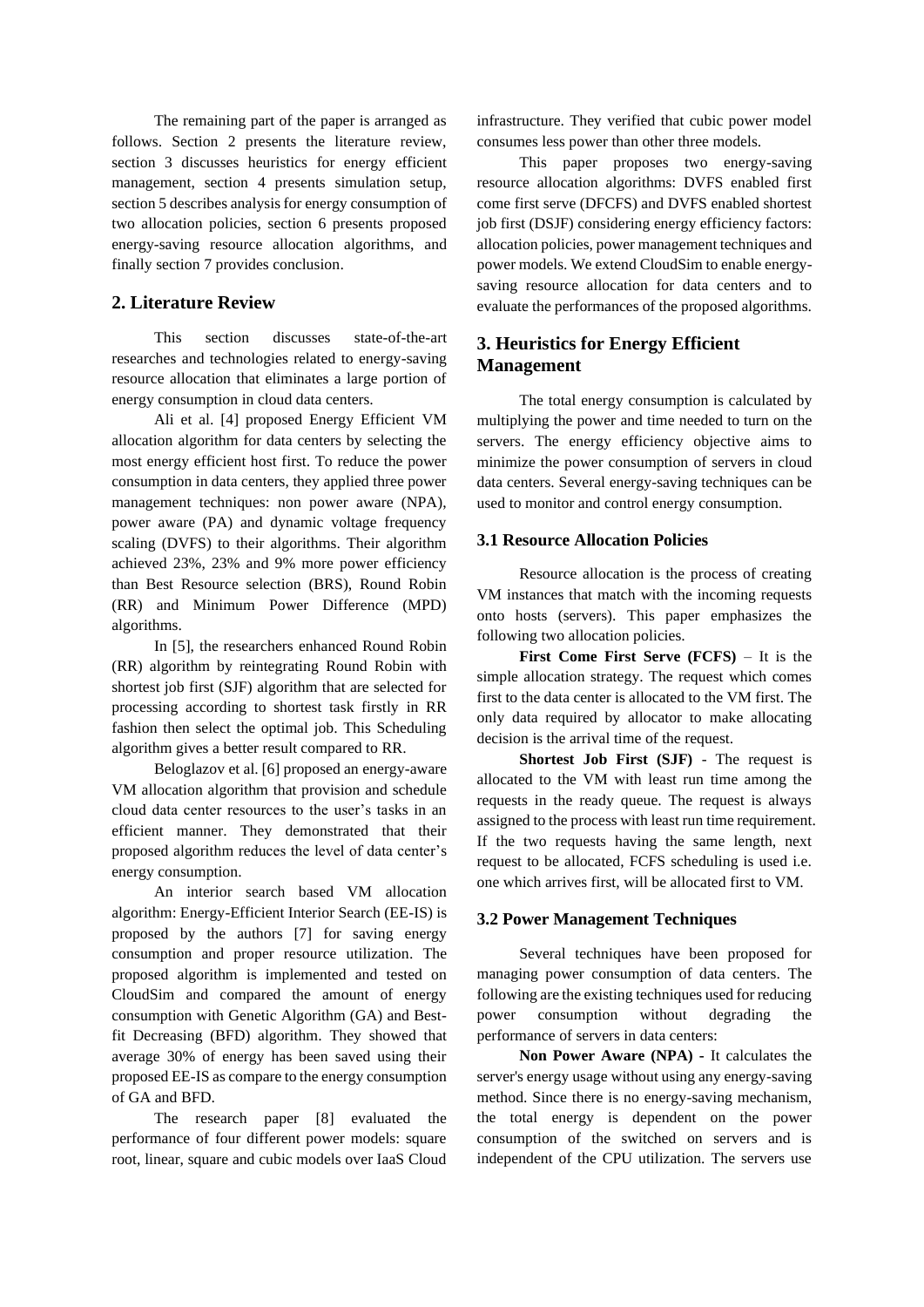The remaining part of the paper is arranged as follows. Section 2 presents the literature review, section 3 discusses heuristics for energy efficient management, section 4 presents simulation setup, section 5 describes analysis for energy consumption of two allocation policies, section 6 presents proposed energy-saving resource allocation algorithms, and finally section 7 provides conclusion.

# **2. Literature Review**

This section discusses state-of-the-art researches and technologies related to energy-saving resource allocation that eliminates a large portion of energy consumption in cloud data centers.

Ali et al. [4] proposed Energy Efficient VM allocation algorithm for data centers by selecting the most energy efficient host first. To reduce the power consumption in data centers, they applied three power management techniques: non power aware (NPA), power aware (PA) and dynamic voltage frequency scaling (DVFS) to their algorithms. Their algorithm achieved 23%, 23% and 9% more power efficiency than Best Resource selection (BRS), Round Robin (RR) and Minimum Power Difference (MPD) algorithms.

In [5], the researchers enhanced Round Robin (RR) algorithm by reintegrating Round Robin with shortest job first (SJF) algorithm that are selected for processing according to shortest task firstly in RR fashion then select the optimal job. This Scheduling algorithm gives a better result compared to RR.

Beloglazov et al. [6] proposed an energy-aware VM allocation algorithm that provision and schedule cloud data center resources to the user's tasks in an efficient manner. They demonstrated that their proposed algorithm reduces the level of data center's energy consumption.

An interior search based VM allocation algorithm: Energy-Efficient Interior Search (EE-IS) is proposed by the authors [7] for saving energy consumption and proper resource utilization. The proposed algorithm is implemented and tested on CloudSim and compared the amount of energy consumption with Genetic Algorithm (GA) and Bestfit Decreasing (BFD) algorithm. They showed that average 30% of energy has been saved using their proposed EE-IS as compare to the energy consumption of GA and BFD.

The research paper [8] evaluated the performance of four different power models: square root, linear, square and cubic models over IaaS Cloud

infrastructure. They verified that cubic power model consumes less power than other three models.

This paper proposes two energy-saving resource allocation algorithms: DVFS enabled first come first serve (DFCFS) and DVFS enabled shortest job first (DSJF) considering energy efficiency factors: allocation policies, power management techniques and power models. We extend CloudSim to enable energysaving resource allocation for data centers and to evaluate the performances of the proposed algorithms.

# **3. Heuristics for Energy Efficient Management**

The total energy consumption is calculated by multiplying the power and time needed to turn on the servers. The energy efficiency objective aims to minimize the power consumption of servers in cloud data centers. Several energy-saving techniques can be used to monitor and control energy consumption.

## **3.1 Resource Allocation Policies**

Resource allocation is the process of creating VM instances that match with the incoming requests onto hosts (servers). This paper emphasizes the following two allocation policies.

**First Come First Serve (FCFS)** – It is the simple allocation strategy. The request which comes first to the data center is allocated to the VM first. The only data required by allocator to make allocating decision is the arrival time of the request.

**Shortest Job First (SJF)** - The request is allocated to the VM with least run time among the requests in the ready queue. The request is always assigned to the process with least run time requirement. If the two requests having the same length, next request to be allocated, FCFS scheduling is used i.e. one which arrives first, will be allocated first to VM.

### **3.2 Power Management Techniques**

Several techniques have been proposed for managing power consumption of data centers. The following are the existing techniques used for reducing power consumption without degrading the performance of servers in data centers:

**Non Power Aware (NPA) -** It calculates the server's energy usage without using any energy-saving method. Since there is no energy-saving mechanism, the total energy is dependent on the power consumption of the switched on servers and is independent of the CPU utilization. The servers use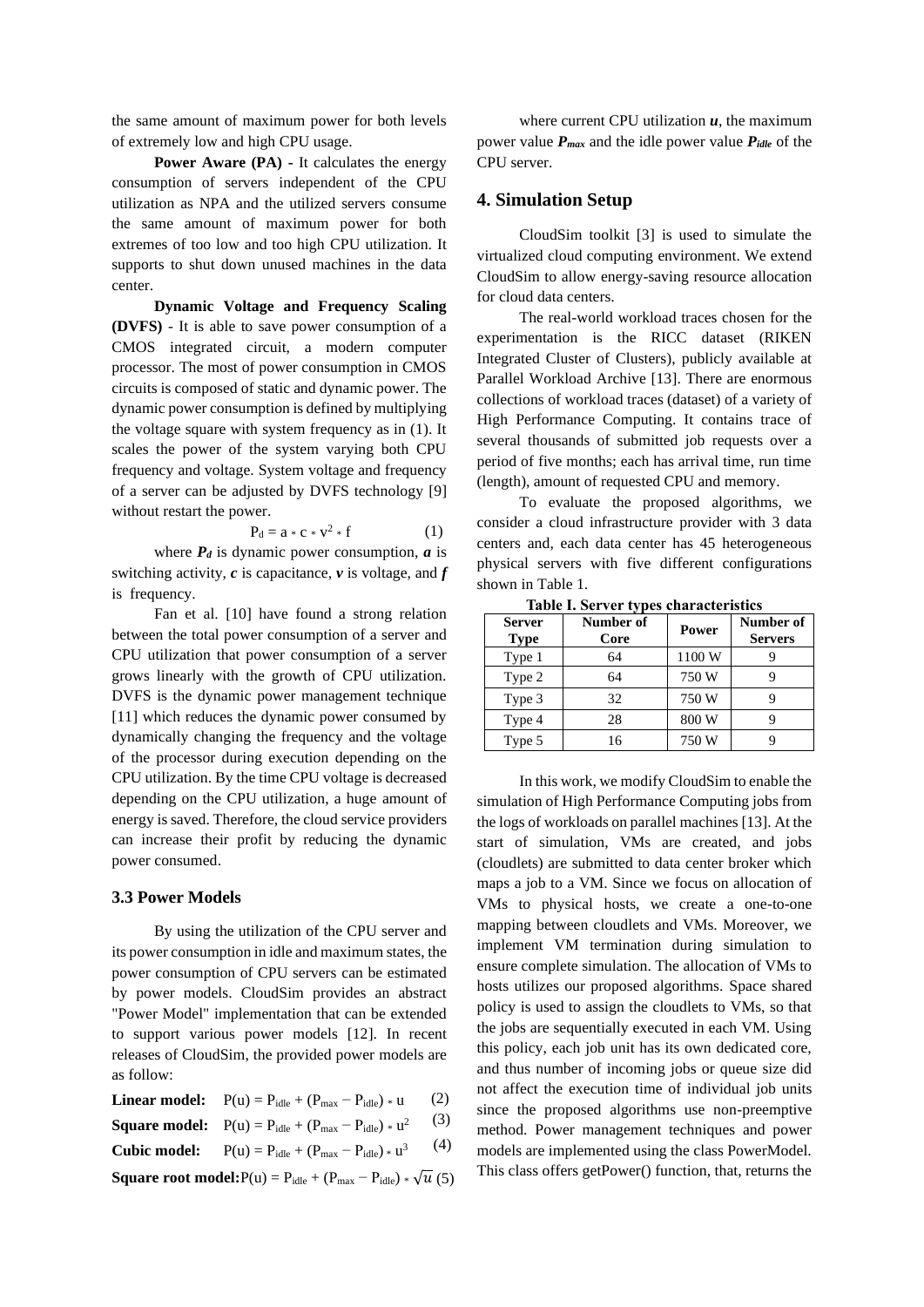the same amount of maximum power for both levels of extremely low and high CPU usage.

**Power Aware (PA) -** It calculates the energy consumption of servers independent of the CPU utilization as NPA and the utilized servers consume the same amount of maximum power for both extremes of too low and too high CPU utilization. It supports to shut down unused machines in the data center.

**Dynamic Voltage and Frequency Scaling (DVFS)** - It is able to save power consumption of a CMOS integrated circuit, a modern computer processor. The most of power consumption in CMOS circuits is composed of static and dynamic power. The dynamic power consumption is defined by multiplying the voltage square with system frequency as in (1). It scales the power of the system varying both CPU frequency and voltage. System voltage and frequency of a server can be adjusted by DVFS technology [9] without restart the power.

$$
P_d = a * c * v^2 * f \tag{1}
$$

where  $P_d$  is dynamic power consumption,  $a$  is switching activity,  $c$  is capacitance,  $\nu$  is voltage, and  $f$ is frequency.

Fan et al. [10] have found a strong relation between the total power consumption of a server and CPU utilization that power consumption of a server grows linearly with the growth of CPU utilization. DVFS is the dynamic power management technique [11] which reduces the dynamic power consumed by dynamically changing the frequency and the voltage of the processor during execution depending on the CPU utilization. By the time CPU voltage is decreased depending on the CPU utilization, a huge amount of energy is saved. Therefore, the cloud service providers can increase their profit by reducing the dynamic power consumed.

#### **3.3 Power Models**

By using the utilization of the CPU server and its power consumption in idle and maximum states, the power consumption of CPU servers can be estimated by power models. CloudSim provides an abstract "Power Model" implementation that can be extended to support various power models [12]. In recent releases of CloudSim, the provided power models are as follow:

| <b>Linear model:</b> $P(u) = P_{idle} + (P_{max} - P_{idle}) * u$       | (2) |
|-------------------------------------------------------------------------|-----|
| <b>Square model:</b> $P(u) = P_{idle} + (P_{max} - P_{idle}) * u^2$ (3) |     |
| $C1$ Lie models $D(n)$ D $(D(n) - D)$ $=3$ (4)                          |     |

**Cubic model:** 
$$
P(u) = P_{idle} + (P_{max} - P_{idle}) * u^3
$$
 (4)

**Square root model:** $P(u) = P_{idle} + (P_{max} - P_{idle}) * \sqrt{u}$  (5)

where current CPU utilization  $u$ , the maximum power value *Pmax* and the idle power value *Pidle* of the CPU server.

### **4. Simulation Setup**

CloudSim toolkit [3] is used to simulate the virtualized cloud computing environment. We extend CloudSim to allow energy-saving resource allocation for cloud data centers.

The real-world workload traces chosen for the experimentation is the RICC dataset (RIKEN Integrated Cluster of Clusters), publicly available at Parallel Workload Archive [13]. There are enormous collections of workload traces (dataset) of a variety of High Performance Computing. It contains trace of several thousands of submitted job requests over a period of five months; each has arrival time, run time (length), amount of requested CPU and memory.

To evaluate the proposed algorithms, we consider a cloud infrastructure provider with 3 data centers and, each data center has 45 heterogeneous physical servers with five different configurations shown in Table 1.

| <b>Server</b><br><b>Type</b> | Number of<br>Core | Power  | Number of<br><b>Servers</b> |
|------------------------------|-------------------|--------|-----------------------------|
| Type 1                       | 64                | 1100 W |                             |
| Type 2                       | 64                | 750W   |                             |
| Type 3                       | 32                | 750W   |                             |
| Type 4                       | 28                | 800 W  |                             |
| Type 5                       | 16                | 750 W  |                             |

**Table I. Server types characteristics**

In this work, we modify CloudSim to enable the simulation of High Performance Computing jobs from the logs of workloads on parallel machines [13]. At the start of simulation, VMs are created, and jobs (cloudlets) are submitted to data center broker which maps a job to a VM. Since we focus on allocation of VMs to physical hosts, we create a one-to-one mapping between cloudlets and VMs. Moreover, we implement VM termination during simulation to ensure complete simulation. The allocation of VMs to hosts utilizes our proposed algorithms. Space shared policy is used to assign the cloudlets to VMs, so that the jobs are sequentially executed in each VM. Using this policy, each job unit has its own dedicated core, and thus number of incoming jobs or queue size did not affect the execution time of individual job units since the proposed algorithms use non-preemptive method. Power management techniques and power models are implemented using the class PowerModel. This class offers getPower() function, that, returns the (5)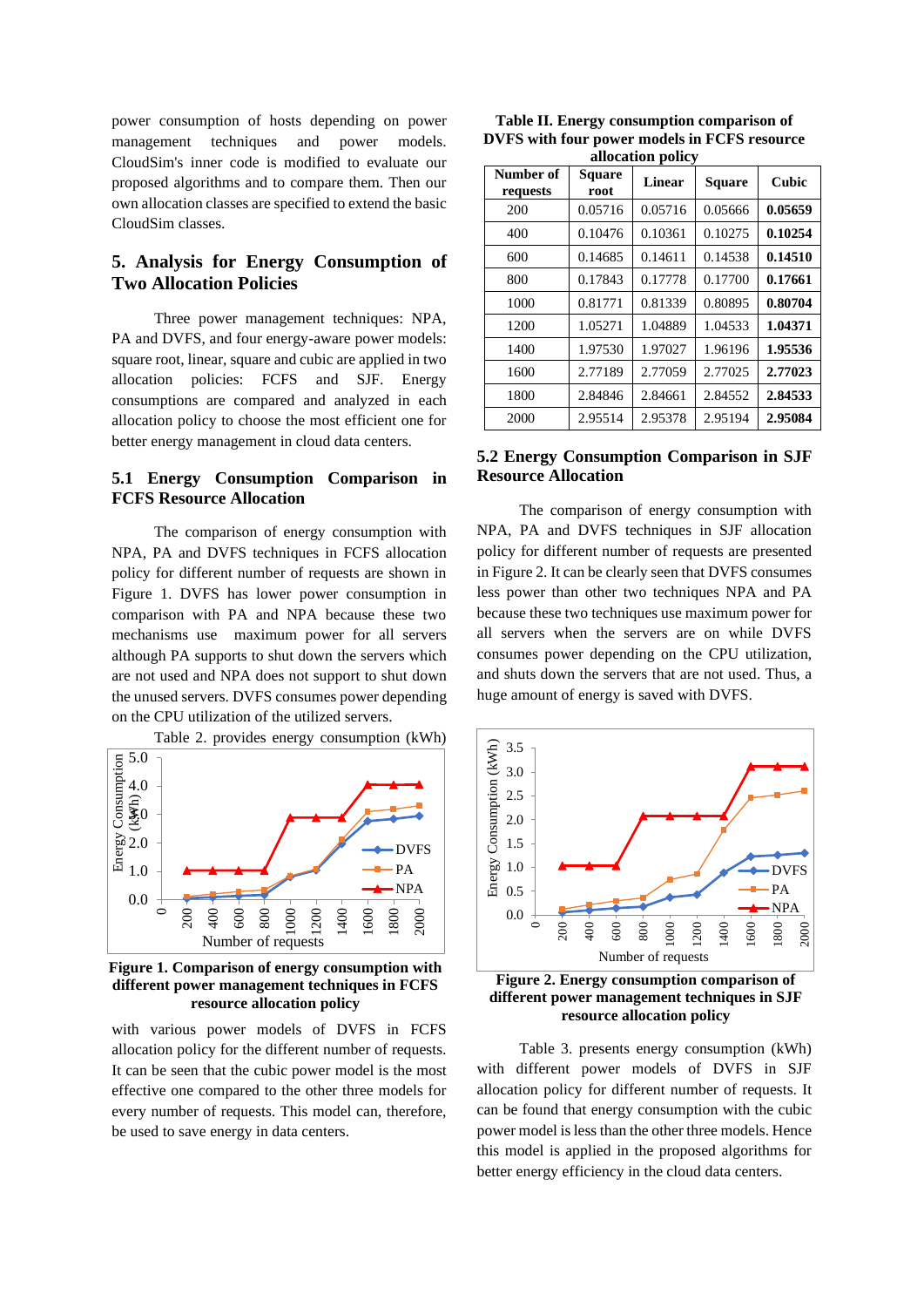power consumption of hosts depending on power management techniques and power models. CloudSim's inner code is modified to evaluate our proposed algorithms and to compare them. Then our own allocation classes are specified to extend the basic CloudSim classes.

# **5. Analysis for Energy Consumption of Two Allocation Policies**

Three power management techniques: NPA, PA and DVFS, and four energy-aware power models: square root, linear, square and cubic are applied in two allocation policies: FCFS and SJF. Energy consumptions are compared and analyzed in each allocation policy to choose the most efficient one for better energy management in cloud data centers.

### **5.1 Energy Consumption Comparison in FCFS Resource Allocation**

The comparison of energy consumption with NPA, PA and DVFS techniques in FCFS allocation policy for different number of requests are shown in Figure 1. DVFS has lower power consumption in comparison with PA and NPA because these two mechanisms use maximum power for all servers although PA supports to shut down the servers which are not used and NPA does not support to shut down the unused servers. DVFS consumes power depending on the CPU utilization of the utilized servers.



**Figure 1. Comparison of energy consumption with different power management techniques in FCFS resource allocation policy**

with various power models of DVFS in FCFS allocation policy for the different number of requests. It can be seen that the cubic power model is the most effective one compared to the other three models for every number of requests. This model can, therefore, be used to save energy in data centers.

**Table II. Energy consumption comparison of DVFS with four power models in FCFS resource allocation policy**

| Number of<br>requests | <b>Square</b><br>root | - r --- <i>-</i> ,<br>Linear | <b>Square</b> | Cubic   |
|-----------------------|-----------------------|------------------------------|---------------|---------|
| 200                   | 0.05716               | 0.05716                      | 0.05666       | 0.05659 |
| 400                   | 0.10476               | 0.10361                      | 0.10275       | 0.10254 |
| 600                   | 0.14685               | 0.14611                      | 0.14538       | 0.14510 |
| 800                   | 0.17843               | 0.17778                      | 0.17700       | 0.17661 |
| 1000                  | 0.81771               | 0.81339                      | 0.80895       | 0.80704 |
| 1200                  | 1.05271               | 1.04889                      | 1.04533       | 1.04371 |
| 1400                  | 1.97530               | 1.97027                      | 1.96196       | 1.95536 |
| 1600                  | 2.77189               | 2.77059                      | 2.77025       | 2.77023 |
| 1800                  | 2.84846               | 2.84661                      | 2.84552       | 2.84533 |
| 2000                  | 2.95514               | 2.95378                      | 2.95194       | 2.95084 |

## **5.2 Energy Consumption Comparison in SJF Resource Allocation**

The comparison of energy consumption with NPA, PA and DVFS techniques in SJF allocation policy for different number of requests are presented in Figure 2. It can be clearly seen that DVFS consumes less power than other two techniques NPA and PA because these two techniques use maximum power for all servers when the servers are on while DVFS consumes power depending on the CPU utilization, and shuts down the servers that are not used. Thus, a huge amount of energy is saved with DVFS.



**Figure 2. Energy consumption comparison of different power management techniques in SJF resource allocation policy**

Table 3. presents energy consumption (kWh) with different power models of DVFS in SJF allocation policy for different number of requests. It can be found that energy consumption with the cubic power model is less than the other three models. Hence this model is applied in the proposed algorithms for better energy efficiency in the cloud data centers.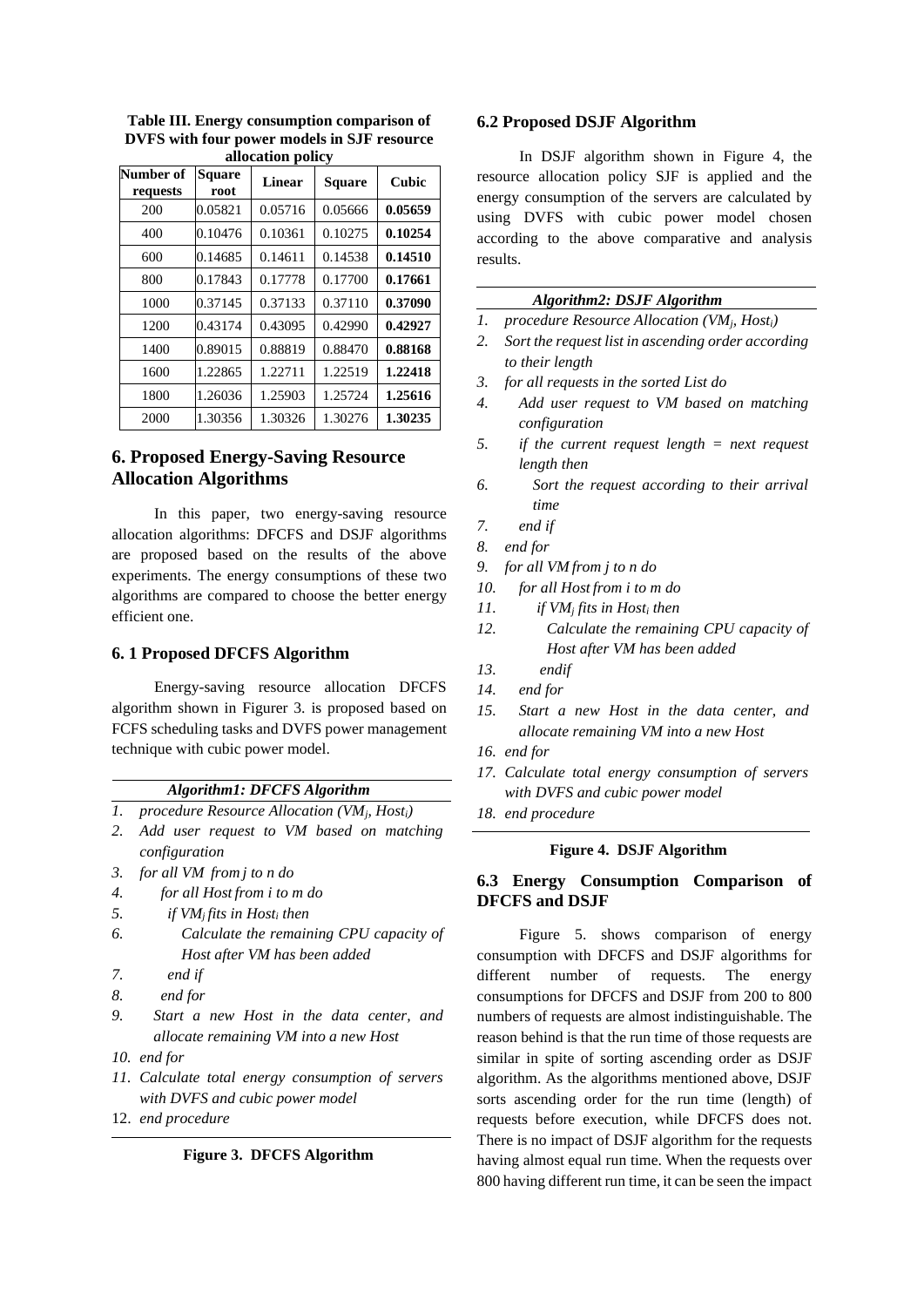| anotation ponty       |                       |         |               |              |
|-----------------------|-----------------------|---------|---------------|--------------|
| Number of<br>requests | <b>Square</b><br>root | Linear  | <b>Square</b> | <b>Cubic</b> |
| 200                   | 0.05821               | 0.05716 | 0.05666       | 0.05659      |
| 400                   | 0.10476               | 0.10361 | 0.10275       | 0.10254      |
| 600                   | 0.14685               | 0.14611 | 0.14538       | 0.14510      |
| 800                   | 0.17843               | 0.17778 | 0.17700       | 0.17661      |
| 1000                  | 0.37145               | 0.37133 | 0.37110       | 0.37090      |
| 1200                  | 0.43174               | 0.43095 | 0.42990       | 0.42927      |
| 1400                  | 0.89015               | 0.88819 | 0.88470       | 0.88168      |
| 1600                  | 1.22865               | 1.22711 | 1.22519       | 1.22418      |
| 1800                  | 1.26036               | 1.25903 | 1.25724       | 1.25616      |
| 2000                  | 1.30356               | 1.30326 | 1.30276       | 1.30235      |

**Table III. Energy consumption comparison of DVFS with four power models in SJF resource allocation policy**

# **6. Proposed Energy-Saving Resource Allocation Algorithms**

In this paper, two energy-saving resource allocation algorithms: DFCFS and DSJF algorithms are proposed based on the results of the above experiments. The energy consumptions of these two algorithms are compared to choose the better energy efficient one.

### **6. 1 Proposed DFCFS Algorithm**

Energy-saving resource allocation DFCFS algorithm shown in Figurer 3. is proposed based on FCFS scheduling tasks and DVFS power management technique with cubic power model.

#### *Algorithm1: DFCFS Algorithm*

- *1. procedure Resource Allocation (VMj, Hosti)*
- *2. Add user request to VM based on matching configuration*
- *3. for all VM from j to n do*
- *4. for all Host from i to m do*
- *5. if VMj fits in Host<sup>i</sup> then*
- *6. Calculate the remaining CPU capacity of Host after VM has been added*
- *7. end if*
- *8. end for*
- *9. Start a new Host in the data center, and allocate remaining VM into a new Host*
- *10. end for*
- *11. Calculate total energy consumption of servers with DVFS and cubic power model*
- 12. *end procedure*

#### **Figure 3. DFCFS Algorithm**

### **6.2 Proposed DSJF Algorithm**

In DSJF algorithm shown in Figure 4, the resource allocation policy SJF is applied and the energy consumption of the servers are calculated by using DVFS with cubic power model chosen according to the above comparative and analysis results.

| <b>Algorithm2: DSJF Algorithm</b> |  |
|-----------------------------------|--|
|                                   |  |

- *1. procedure Resource Allocation (VMj, Hosti)*
- *2. Sort the request list in ascending order according to their length*
- *3. for all requests in the sorted List do*
- *4. Add user request to VM based on matching configuration*
- *5. if the current request length = next request length then*
- *6. Sort the request according to their arrival time*
- *7. end if*
- *8. end for*
- *9. for all VM from j to n do*
- *10. for all Host from i to m do*
- *11. if VM<sup>j</sup> fits in Host<sup>i</sup> then*
- *12. Calculate the remaining CPU capacity of Host after VM has been added*
- *13. endif*
- *14. end for*
- *15. Start a new Host in the data center, and allocate remaining VM into a new Host*
- *16. end for*
- *17. Calculate total energy consumption of servers with DVFS and cubic power model*
- *18. end procedure*

### **Figure 4. DSJF Algorithm**

# **6.3 Energy Consumption Comparison of DFCFS and DSJF**

Figure 5. shows comparison of energy consumption with DFCFS and DSJF algorithms for different number of requests. The energy consumptions for DFCFS and DSJF from 200 to 800 numbers of requests are almost indistinguishable. The reason behind is that the run time of those requests are similar in spite of sorting ascending order as DSJF algorithm. As the algorithms mentioned above, DSJF sorts ascending order for the run time (length) of requests before execution, while DFCFS does not. There is no impact of DSJF algorithm for the requests having almost equal run time. When the requests over 800 having different run time, it can be seen the impact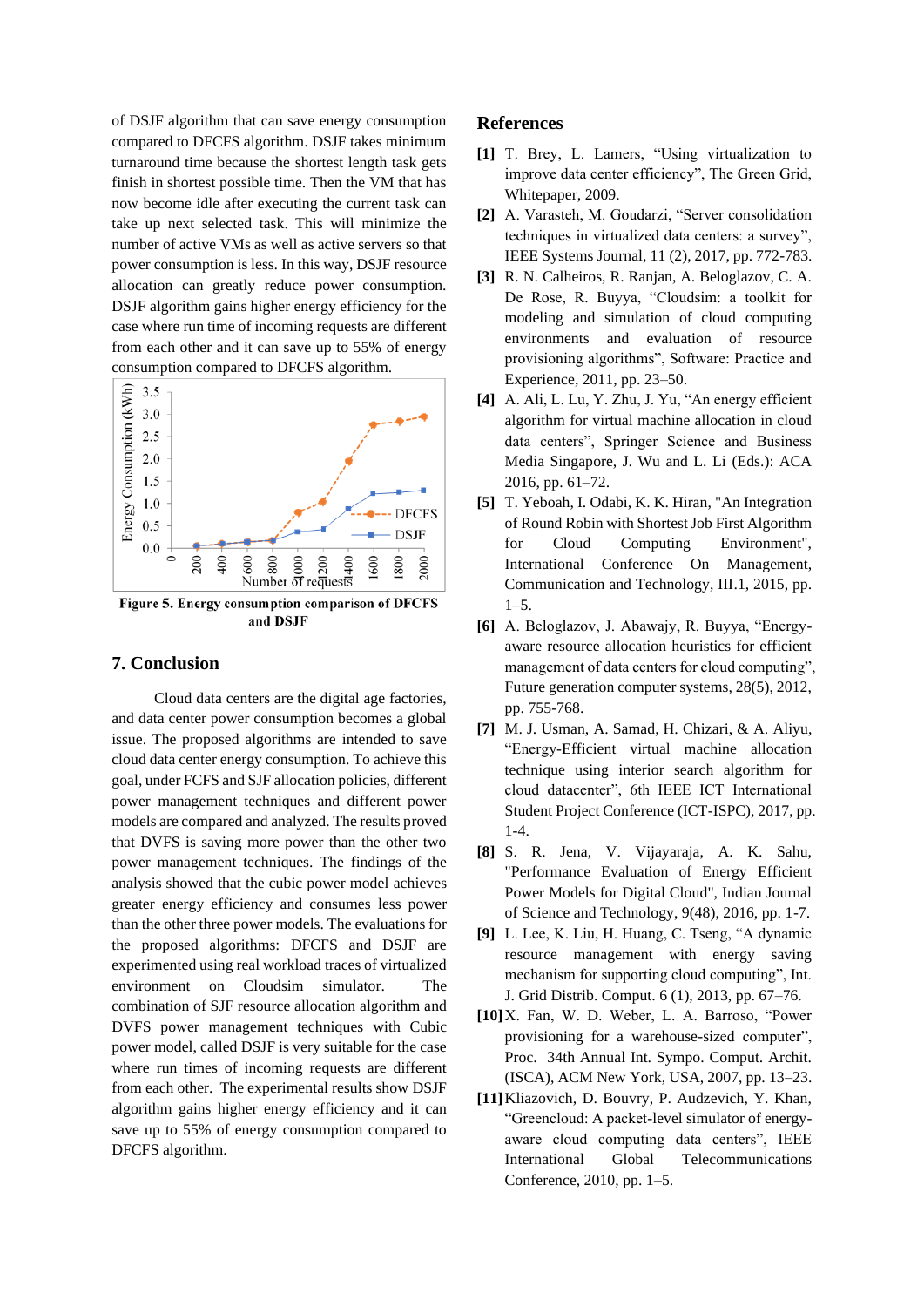of DSJF algorithm that can save energy consumption compared to DFCFS algorithm. DSJF takes minimum turnaround time because the shortest length task gets finish in shortest possible time. Then the VM that has now become idle after executing the current task can take up next selected task. This will minimize the number of active VMs as well as active servers so that power consumption is less. In this way, DSJF resource allocation can greatly reduce power consumption. DSJF algorithm gains higher energy efficiency for the case where run time of incoming requests are different from each other and it can save up to 55% of energy consumption compared to DFCFS algorithm.



and DSJF

# **7. Conclusion**

Cloud data centers are the digital age factories, and data center power consumption becomes a global issue. The proposed algorithms are intended to save cloud data center energy consumption. To achieve this goal, under FCFS and SJF allocation policies, different power management techniques and different power models are compared and analyzed. The results proved that DVFS is saving more power than the other two power management techniques. The findings of the analysis showed that the cubic power model achieves greater energy efficiency and consumes less power than the other three power models. The evaluations for the proposed algorithms: DFCFS and DSJF are experimented using real workload traces of virtualized environment on Cloudsim simulator. The combination of SJF resource allocation algorithm and DVFS power management techniques with Cubic power model, called DSJF is very suitable for the case where run times of incoming requests are different from each other. The experimental results show DSJF algorithm gains higher energy efficiency and it can save up to 55% of energy consumption compared to DFCFS algorithm.

## **References**

- **[1]** T. Brey, L. Lamers, "Using virtualization to improve data center efficiency", The Green Grid, Whitepaper, 2009.
- **[2]** A. Varasteh, M. Goudarzi, "Server consolidation techniques in virtualized data centers: a survey", IEEE Systems Journal, 11 (2), 2017, pp. 772-783.
- **[3]** R. N. Calheiros, R. Ranjan, A. Beloglazov, C. A. De Rose, R. Buyya, "Cloudsim: a toolkit for modeling and simulation of cloud computing environments and evaluation of resource provisioning algorithms", Software: Practice and Experience, 2011, pp. 23–50.
- **[4]** A. Ali, L. Lu, Y. Zhu, J. Yu, "An energy efficient algorithm for virtual machine allocation in cloud data centers", Springer Science and Business Media Singapore, J. Wu and L. Li (Eds.): ACA 2016, pp. 61–72.
- **[5]** T. Yeboah, I. Odabi, K. K. Hiran, "An Integration of Round Robin with Shortest Job First Algorithm for Cloud Computing Environment", International Conference On Management, Communication and Technology, III.1, 2015, pp. 1–5.
- **[6]** A. Beloglazov, J. Abawajy, R. Buyya, "Energyaware resource allocation heuristics for efficient management of data centers for cloud computing", Future generation computer systems, 28(5), 2012, pp. 755-768.
- **[7]** M. J. Usman, A. Samad, H. Chizari, & A. Aliyu, "Energy-Efficient virtual machine allocation technique using interior search algorithm for cloud datacenter", 6th IEEE ICT International Student Project Conference (ICT-ISPC), 2017, pp. 1-4.
- **[8]** S. R. Jena, V. Vijayaraja, A. K. Sahu, "Performance Evaluation of Energy Efficient Power Models for Digital Cloud", Indian Journal of Science and Technology, 9(48), 2016, pp. 1-7.
- **[9]** L. Lee, K. Liu, H. Huang, C. Tseng, "A dynamic resource management with energy saving mechanism for supporting cloud computing", Int. J. Grid Distrib. Comput. 6 (1), 2013, pp. 67–76.
- **[10]**X. Fan, W. D. Weber, L. A. Barroso, "Power provisioning for a warehouse-sized computer", Proc. 34th Annual Int. Sympo. Comput. Archit. (ISCA), ACM New York, USA, 2007, pp. 13–23.
- **[11]**Kliazovich, D. Bouvry, P. Audzevich, Y. Khan, "Greencloud: A packet-level simulator of energyaware cloud computing data centers", IEEE International Global Telecommunications Conference, 2010, pp. 1–5.